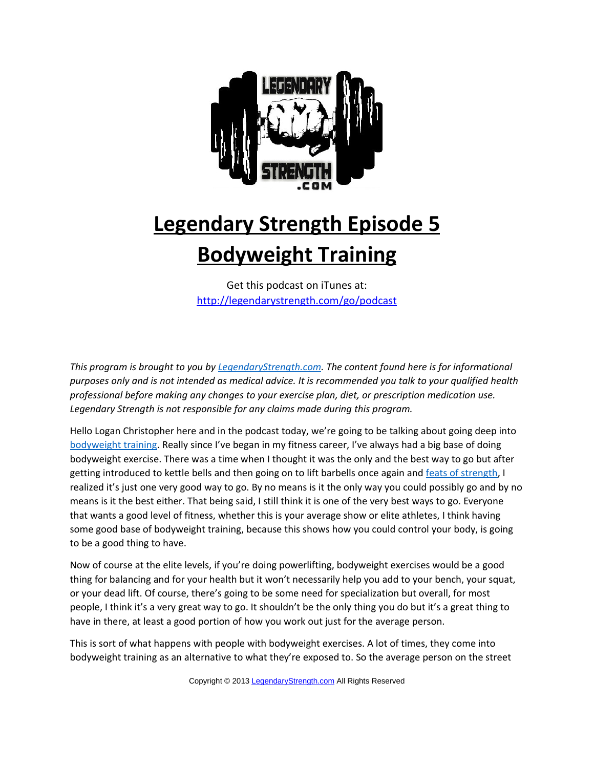

## **Legendary Strength Episode 5 Bodyweight Training**

Get this podcast on iTunes at: <http://legendarystrength.com/go/podcast>

*This program is brought to you by [LegendaryStrength.com.](http://LegendaryStrength.com/) The content found here is for informational purposes only and is not intended as medical advice. It is recommended you talk to your qualified health professional before making any changes to your exercise plan, diet, or prescription medication use. Legendary Strength is not responsible for any claims made during this program.* 

Hello Logan Christopher here and in the podcast today, we're going to be talking about going deep into [bodyweight training.](http://legendarystrength.com/articles/bodyweight-training/) Really since I've began in my fitness career, I've always had a big base of doing bodyweight exercise. There was a time when I thought it was the only and the best way to go but after getting introduced to kettle bells and then going on to lift barbells once again and [feats of strength,](http://legendarystrength.com/feats-of-strength/) I realized it's just one very good way to go. By no means is it the only way you could possibly go and by no means is it the best either. That being said, I still think it is one of the very best ways to go. Everyone that wants a good level of fitness, whether this is your average show or elite athletes, I think having some good base of bodyweight training, because this shows how you could control your body, is going to be a good thing to have.

Now of course at the elite levels, if you're doing powerlifting, bodyweight exercises would be a good thing for balancing and for your health but it won't necessarily help you add to your bench, your squat, or your dead lift. Of course, there's going to be some need for specialization but overall, for most people, I think it's a very great way to go. It shouldn't be the only thing you do but it's a great thing to have in there, at least a good portion of how you work out just for the average person.

This is sort of what happens with people with bodyweight exercises. A lot of times, they come into bodyweight training as an alternative to what they're exposed to. So the average person on the street

Copyright © 2013 [LegendaryStrength.com](http://www.LegendaryStrength.com/) All Rights Reserved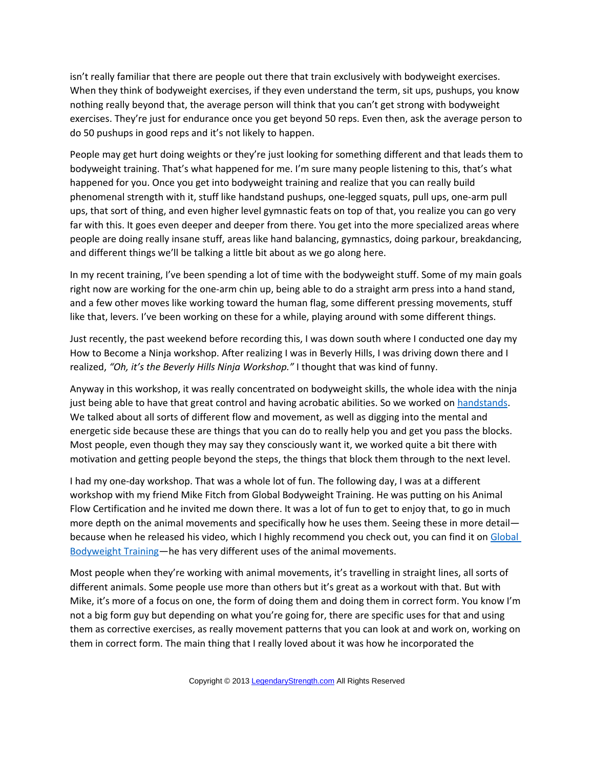isn't really familiar that there are people out there that train exclusively with bodyweight exercises. When they think of bodyweight exercises, if they even understand the term, sit ups, pushups, you know nothing really beyond that, the average person will think that you can't get strong with bodyweight exercises. They're just for endurance once you get beyond 50 reps. Even then, ask the average person to do 50 pushups in good reps and it's not likely to happen.

People may get hurt doing weights or they're just looking for something different and that leads them to bodyweight training. That's what happened for me. I'm sure many people listening to this, that's what happened for you. Once you get into bodyweight training and realize that you can really build phenomenal strength with it, stuff like handstand pushups, one-legged squats, pull ups, one-arm pull ups, that sort of thing, and even higher level gymnastic feats on top of that, you realize you can go very far with this. It goes even deeper and deeper from there. You get into the more specialized areas where people are doing really insane stuff, areas like hand balancing, gymnastics, doing parkour, breakdancing, and different things we'll be talking a little bit about as we go along here.

In my recent training, I've been spending a lot of time with the bodyweight stuff. Some of my main goals right now are working for the one-arm chin up, being able to do a straight arm press into a hand stand, and a few other moves like working toward the human flag, some different pressing movements, stuff like that, levers. I've been working on these for a while, playing around with some different things.

Just recently, the past weekend before recording this, I was down south where I conducted one day my How to Become a Ninja workshop. After realizing I was in Beverly Hills, I was driving down there and I realized, *"Oh, it's the Beverly Hills Ninja Workshop."* I thought that was kind of funny.

Anyway in this workshop, it was really concentrated on bodyweight skills, the whole idea with the ninja just being able to have that great control and having acrobatic abilities. So we worked on [handstands.](http://legendarystrength.com/handstand-articles/how-to-do-a-handstand/) We talked about all sorts of different flow and movement, as well as digging into the mental and energetic side because these are things that you can do to really help you and get you pass the blocks. Most people, even though they may say they consciously want it, we worked quite a bit there with motivation and getting people beyond the steps, the things that block them through to the next level.

I had my one-day workshop. That was a whole lot of fun. The following day, I was at a different workshop with my friend Mike Fitch from Global Bodyweight Training. He was putting on his Animal Flow Certification and he invited me down there. It was a lot of fun to get to enjoy that, to go in much more depth on the animal movements and specifically how he uses them. Seeing these in more detail-because when he released his video, which I highly recommend you check out, you can find it on [Global](http://www.globalbodyweighttraining.com/) [Bodyweight Training—](http://www.globalbodyweighttraining.com/)he has very different uses of the animal movements.

Most people when they're working with animal movements, it's travelling in straight lines, all sorts of different animals. Some people use more than others but it's great as a workout with that. But with Mike, it's more of a focus on one, the form of doing them and doing them in correct form. You know I'm not a big form guy but depending on what you're going for, there are specific uses for that and using them as corrective exercises, as really movement patterns that you can look at and work on, working on them in correct form. The main thing that I really loved about it was how he incorporated the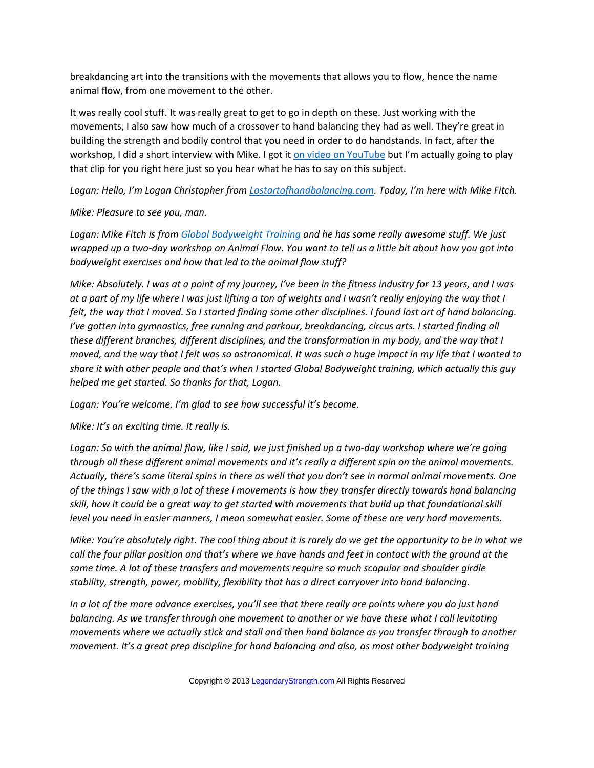breakdancing art into the transitions with the movements that allows you to flow, hence the name animal flow, from one movement to the other.

It was really cool stuff. It was really great to get to go in depth on these. Just working with the movements, I also saw how much of a crossover to hand balancing they had as well. They're great in building the strength and bodily control that you need in order to do handstands. In fact, after the workshop, I did a short interview with Mike. I got it [on video on YouTube](http://www.youtube.com/watch?v=X0mG8GULa-Y) but I'm actually going to play that clip for you right here just so you hear what he has to say on this subject.

*Logan: Hello, I'm Logan Christopher from [Lostartofhandbalancing.com.](http://Lostartofhandbalancing.com/) Today, I'm here with Mike Fitch.* 

*Mike: Pleasure to see you, man.*

*Logan: Mike Fitch is from [Global Bodyweight Training](http://www.globalbodyweighttraining.com/) and he has some really awesome stuff. We just wrapped up a two-day workshop on Animal Flow. You want to tell us a little bit about how you got into bodyweight exercises and how that led to the animal flow stuff?*

*Mike: Absolutely. I was at a point of my journey, I've been in the fitness industry for 13 years, and I was at a part of my life where I was just lifting a ton of weights and I wasn't really enjoying the way that I felt, the way that I moved. So I started finding some other disciplines. I found lost art of hand balancing. I've gotten into gymnastics, free running and parkour, breakdancing, circus arts. I started finding all these different branches, different disciplines, and the transformation in my body, and the way that I moved, and the way that I felt was so astronomical. It was such a huge impact in my life that I wanted to share it with other people and that's when I started Global Bodyweight training, which actually this guy helped me get started. So thanks for that, Logan.* 

*Logan: You're welcome. I'm glad to see how successful it's become.* 

*Mike: It's an exciting time. It really is.* 

*Logan: So with the animal flow, like I said, we just finished up a two-day workshop where we're going through all these different animal movements and it's really a different spin on the animal movements. Actually, there's some literal spins in there as well that you don't see in normal animal movements. One of the things I saw with a lot of these l movements is how they transfer directly towards hand balancing skill, how it could be a great way to get started with movements that build up that foundational skill level you need in easier manners, I mean somewhat easier. Some of these are very hard movements.* 

*Mike: You're absolutely right. The cool thing about it is rarely do we get the opportunity to be in what we call the four pillar position and that's where we have hands and feet in contact with the ground at the same time. A lot of these transfers and movements require so much scapular and shoulder girdle stability, strength, power, mobility, flexibility that has a direct carryover into hand balancing.* 

*In a lot of the more advance exercises, you'll see that there really are points where you do just hand balancing. As we transfer through one movement to another or we have these what I call levitating movements where we actually stick and stall and then hand balance as you transfer through to another movement. It's a great prep discipline for hand balancing and also, as most other bodyweight training*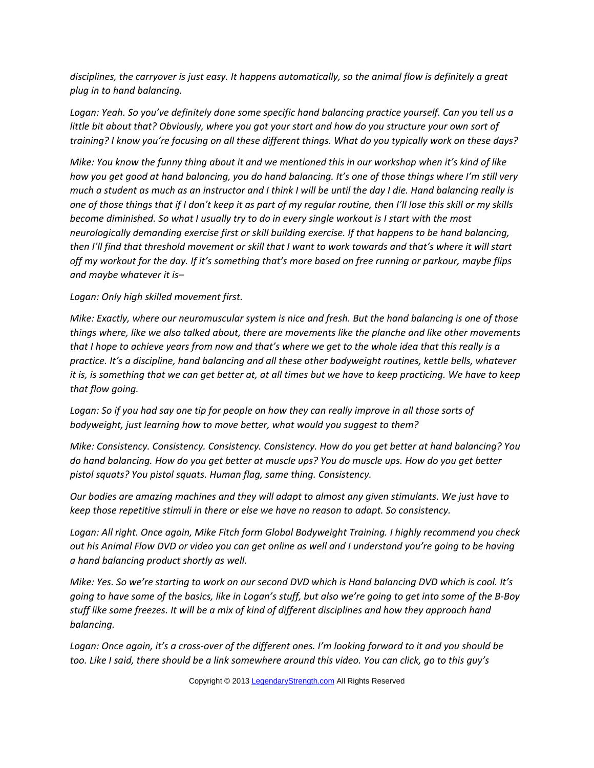*disciplines, the carryover is just easy. It happens automatically, so the animal flow is definitely a great plug in to hand balancing.* 

*Logan: Yeah. So you've definitely done some specific hand balancing practice yourself. Can you tell us a little bit about that? Obviously, where you got your start and how do you structure your own sort of training? I know you're focusing on all these different things. What do you typically work on these days?*

*Mike: You know the funny thing about it and we mentioned this in our workshop when it's kind of like how you get good at hand balancing, you do hand balancing. It's one of those things where I'm still very much a student as much as an instructor and I think I will be until the day I die. Hand balancing really is one of those things that if I don't keep it as part of my regular routine, then I'll lose this skill or my skills become diminished. So what I usually try to do in every single workout is I start with the most neurologically demanding exercise first or skill building exercise. If that happens to be hand balancing, then I'll find that threshold movement or skill that I want to work towards and that's where it will start off my workout for the day. If it's something that's more based on free running or parkour, maybe flips and maybe whatever it is–*

## *Logan: Only high skilled movement first.*

*Mike: Exactly, where our neuromuscular system is nice and fresh. But the hand balancing is one of those things where, like we also talked about, there are movements like the planche and like other movements that I hope to achieve years from now and that's where we get to the whole idea that this really is a practice. It's a discipline, hand balancing and all these other bodyweight routines, kettle bells, whatever it is, is something that we can get better at, at all times but we have to keep practicing. We have to keep that flow going.* 

*Logan: So if you had say one tip for people on how they can really improve in all those sorts of bodyweight, just learning how to move better, what would you suggest to them?*

*Mike: Consistency. Consistency. Consistency. Consistency. How do you get better at hand balancing? You do hand balancing. How do you get better at muscle ups? You do muscle ups. How do you get better pistol squats? You pistol squats. Human flag, same thing. Consistency.*

*Our bodies are amazing machines and they will adapt to almost any given stimulants. We just have to keep those repetitive stimuli in there or else we have no reason to adapt. So consistency.*

*Logan: All right. Once again, Mike Fitch form Global Bodyweight Training. I highly recommend you check out his Animal Flow DVD or video you can get online as well and I understand you're going to be having a hand balancing product shortly as well.* 

*Mike: Yes. So we're starting to work on our second DVD which is Hand balancing DVD which is cool. It's going to have some of the basics, like in Logan's stuff, but also we're going to get into some of the B-Boy stuff like some freezes. It will be a mix of kind of different disciplines and how they approach hand balancing.* 

*Logan: Once again, it's a cross-over of the different ones. I'm looking forward to it and you should be too. Like I said, there should be a link somewhere around this video. You can click, go to this guy's*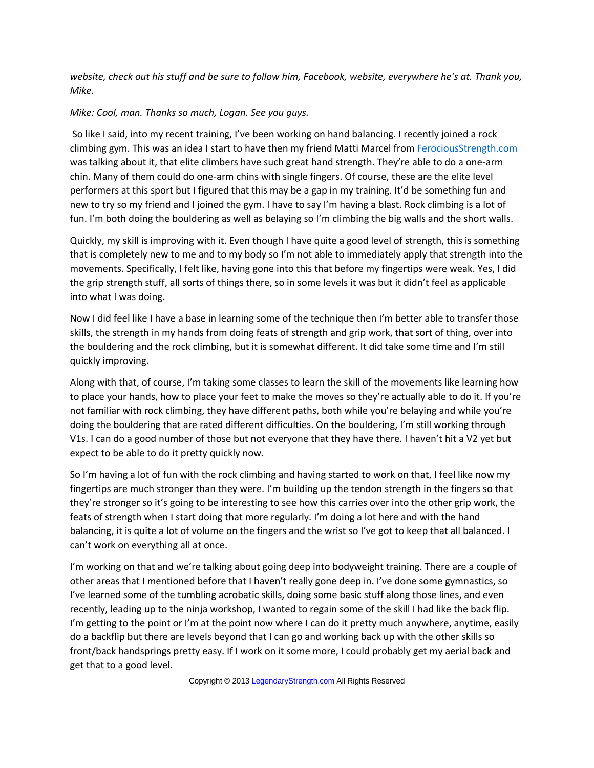*website, check out his stuff and be sure to follow him, Facebook, website, everywhere he's at. Thank you, Mike.*

*Mike: Cool, man. Thanks so much, Logan. See you guys.*

 So like I said, into my recent training, I've been working on hand balancing. I recently joined a rock climbing gym. This was an idea I start to have then my friend Matti Marcel from [FerociousStrength.com](http://FerociousStrength.com/) was talking about it, that elite climbers have such great hand strength. They're able to do a one-arm chin. Many of them could do one-arm chins with single fingers. Of course, these are the elite level performers at this sport but I figured that this may be a gap in my training. It'd be something fun and new to try so my friend and I joined the gym. I have to say I'm having a blast. Rock climbing is a lot of fun. I'm both doing the bouldering as well as belaying so I'm climbing the big walls and the short walls.

Quickly, my skill is improving with it. Even though I have quite a good level of strength, this is something that is completely new to me and to my body so I'm not able to immediately apply that strength into the movements. Specifically, I felt like, having gone into this that before my fingertips were weak. Yes, I did the grip strength stuff, all sorts of things there, so in some levels it was but it didn't feel as applicable into what I was doing.

Now I did feel like I have a base in learning some of the technique then I'm better able to transfer those skills, the strength in my hands from doing feats of strength and grip work, that sort of thing, over into the bouldering and the rock climbing, but it is somewhat different. It did take some time and I'm still quickly improving.

Along with that, of course, I'm taking some classes to learn the skill of the movements like learning how to place your hands, how to place your feet to make the moves so they're actually able to do it. If you're not familiar with rock climbing, they have different paths, both while you're belaying and while you're doing the bouldering that are rated different difficulties. On the bouldering, I'm still working through V1s. I can do a good number of those but not everyone that they have there. I haven't hit a V2 yet but expect to be able to do it pretty quickly now.

So I'm having a lot of fun with the rock climbing and having started to work on that, I feel like now my fingertips are much stronger than they were. I'm building up the tendon strength in the fingers so that they're stronger so it's going to be interesting to see how this carries over into the other grip work, the feats of strength when I start doing that more regularly. I'm doing a lot here and with the hand balancing, it is quite a lot of volume on the fingers and the wrist so I've got to keep that all balanced. I can't work on everything all at once.

I'm working on that and we're talking about going deep into bodyweight training. There are a couple of other areas that I mentioned before that I haven't really gone deep in. I've done some gymnastics, so I've learned some of the tumbling acrobatic skills, doing some basic stuff along those lines, and even recently, leading up to the ninja workshop, I wanted to regain some of the skill I had like the back flip. I'm getting to the point or I'm at the point now where I can do it pretty much anywhere, anytime, easily do a backflip but there are levels beyond that I can go and working back up with the other skills so front/back handsprings pretty easy. If I work on it some more, I could probably get my aerial back and get that to a good level.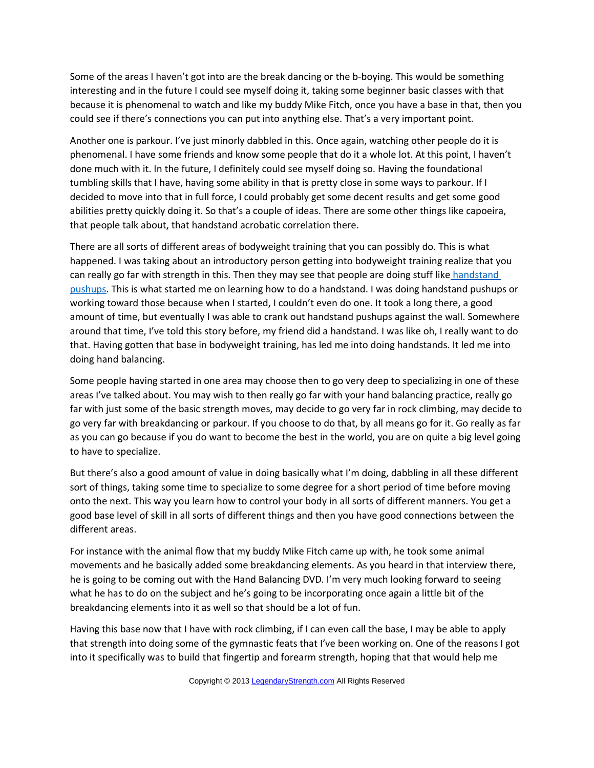Some of the areas I haven't got into are the break dancing or the b-boying. This would be something interesting and in the future I could see myself doing it, taking some beginner basic classes with that because it is phenomenal to watch and like my buddy Mike Fitch, once you have a base in that, then you could see if there's connections you can put into anything else. That's a very important point.

Another one is parkour. I've just minorly dabbled in this. Once again, watching other people do it is phenomenal. I have some friends and know some people that do it a whole lot. At this point, I haven't done much with it. In the future, I definitely could see myself doing so. Having the foundational tumbling skills that I have, having some ability in that is pretty close in some ways to parkour. If I decided to move into that in full force, I could probably get some decent results and get some good abilities pretty quickly doing it. So that's a couple of ideas. There are some other things like capoeira, that people talk about, that handstand acrobatic correlation there.

There are all sorts of different areas of bodyweight training that you can possibly do. This is what happened. I was taking about an introductory person getting into bodyweight training realize that you can really go far with strength in this. Then they may see that people are doing stuff lik[e handstand](http://legendarystrength.com/handstand-articles/how-to-do-handstand-pushups/) [pushups.](http://legendarystrength.com/handstand-articles/how-to-do-handstand-pushups/) This is what started me on learning how to do a handstand. I was doing handstand pushups or working toward those because when I started, I couldn't even do one. It took a long there, a good amount of time, but eventually I was able to crank out handstand pushups against the wall. Somewhere around that time, I've told this story before, my friend did a handstand. I was like oh, I really want to do that. Having gotten that base in bodyweight training, has led me into doing handstands. It led me into doing hand balancing.

Some people having started in one area may choose then to go very deep to specializing in one of these areas I've talked about. You may wish to then really go far with your hand balancing practice, really go far with just some of the basic strength moves, may decide to go very far in rock climbing, may decide to go very far with breakdancing or parkour. If you choose to do that, by all means go for it. Go really as far as you can go because if you do want to become the best in the world, you are on quite a big level going to have to specialize.

But there's also a good amount of value in doing basically what I'm doing, dabbling in all these different sort of things, taking some time to specialize to some degree for a short period of time before moving onto the next. This way you learn how to control your body in all sorts of different manners. You get a good base level of skill in all sorts of different things and then you have good connections between the different areas.

For instance with the animal flow that my buddy Mike Fitch came up with, he took some animal movements and he basically added some breakdancing elements. As you heard in that interview there, he is going to be coming out with the Hand Balancing DVD. I'm very much looking forward to seeing what he has to do on the subject and he's going to be incorporating once again a little bit of the breakdancing elements into it as well so that should be a lot of fun.

Having this base now that I have with rock climbing, if I can even call the base, I may be able to apply that strength into doing some of the gymnastic feats that I've been working on. One of the reasons I got into it specifically was to build that fingertip and forearm strength, hoping that that would help me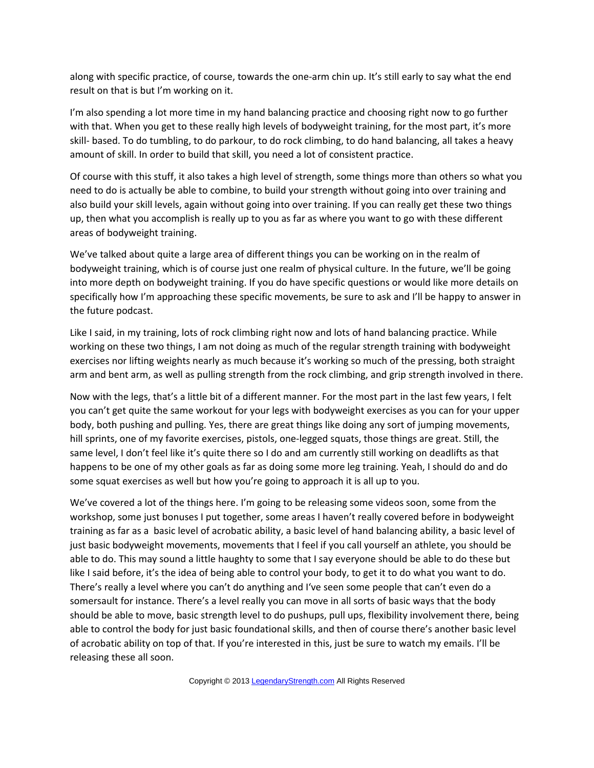along with specific practice, of course, towards the one-arm chin up. It's still early to say what the end result on that is but I'm working on it.

I'm also spending a lot more time in my hand balancing practice and choosing right now to go further with that. When you get to these really high levels of bodyweight training, for the most part, it's more skill- based. To do tumbling, to do parkour, to do rock climbing, to do hand balancing, all takes a heavy amount of skill. In order to build that skill, you need a lot of consistent practice.

Of course with this stuff, it also takes a high level of strength, some things more than others so what you need to do is actually be able to combine, to build your strength without going into over training and also build your skill levels, again without going into over training. If you can really get these two things up, then what you accomplish is really up to you as far as where you want to go with these different areas of bodyweight training.

We've talked about quite a large area of different things you can be working on in the realm of bodyweight training, which is of course just one realm of physical culture. In the future, we'll be going into more depth on bodyweight training. If you do have specific questions or would like more details on specifically how I'm approaching these specific movements, be sure to ask and I'll be happy to answer in the future podcast.

Like I said, in my training, lots of rock climbing right now and lots of hand balancing practice. While working on these two things, I am not doing as much of the regular strength training with bodyweight exercises nor lifting weights nearly as much because it's working so much of the pressing, both straight arm and bent arm, as well as pulling strength from the rock climbing, and grip strength involved in there.

Now with the legs, that's a little bit of a different manner. For the most part in the last few years, I felt you can't get quite the same workout for your legs with bodyweight exercises as you can for your upper body, both pushing and pulling. Yes, there are great things like doing any sort of jumping movements, hill sprints, one of my favorite exercises, pistols, one-legged squats, those things are great. Still, the same level, I don't feel like it's quite there so I do and am currently still working on deadlifts as that happens to be one of my other goals as far as doing some more leg training. Yeah, I should do and do some squat exercises as well but how you're going to approach it is all up to you.

We've covered a lot of the things here. I'm going to be releasing some videos soon, some from the workshop, some just bonuses I put together, some areas I haven't really covered before in bodyweight training as far as a basic level of acrobatic ability, a basic level of hand balancing ability, a basic level of just basic bodyweight movements, movements that I feel if you call yourself an athlete, you should be able to do. This may sound a little haughty to some that I say everyone should be able to do these but like I said before, it's the idea of being able to control your body, to get it to do what you want to do. There's really a level where you can't do anything and I've seen some people that can't even do a somersault for instance. There's a level really you can move in all sorts of basic ways that the body should be able to move, basic strength level to do pushups, pull ups, flexibility involvement there, being able to control the body for just basic foundational skills, and then of course there's another basic level of acrobatic ability on top of that. If you're interested in this, just be sure to watch my emails. I'll be releasing these all soon.